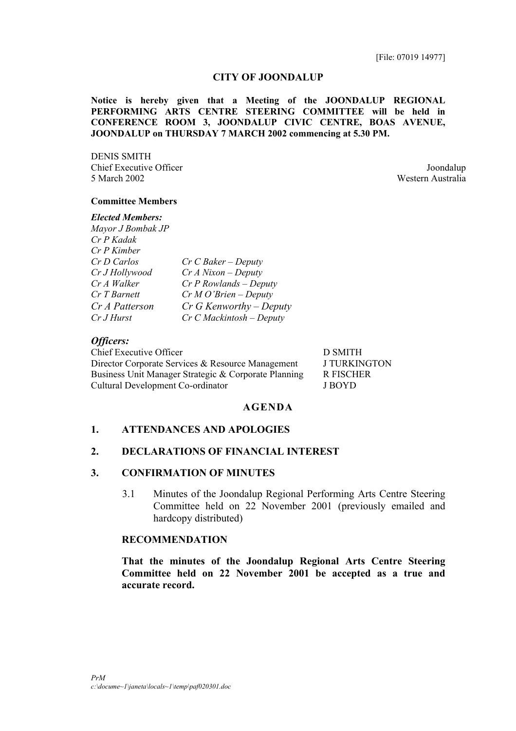#### **CITY OF JOONDALUP**

**Notice is hereby given that a Meeting of the JOONDALUP REGIONAL PERFORMING ARTS CENTRE STEERING COMMITTEE will be held in CONFERENCE ROOM 3, JOONDALUP CIVIC CENTRE, BOAS AVENUE, JOONDALUP on THURSDAY 7 MARCH 2002 commencing at 5.30 PM.**

DENIS SMITH Chief Executive Officer Joondalup 5 March 2002 Western Australia

### **Committee Members**

#### *Elected Members:*

| Mayor J Bombak JP |                            |
|-------------------|----------------------------|
| Cr P Kadak        |                            |
| Cr P Kimber       |                            |
| Cr D Carlos       | $Cr$ C Baker – Deputy      |
| Cr J Hollywood    | $Cr\,A\,Nixon - Deputy$    |
| Cr A Walker       | $Cr$ P Rowlands – Deputy   |
| Cr T Barnett      | $Cr\,M\,O'$ Brien – Deputy |
| Cr A Patterson    | $Cr$ G Kenworthy – Deputy  |
| Cr J Hurst        | $Cr$ C Mackintosh – Deputy |
|                   |                            |

#### *Officers:*

Chief Executive Officer D SMITH Director Corporate Services & Resource Management J TURKINGTON Business Unit Manager Strategic & Corporate Planning R FISCHER Cultural Development Co-ordinator J BOYD

#### **AGENDA**

#### **1. ATTENDANCES AND APOLOGIES**

#### **2. DECLARATIONS OF FINANCIAL INTEREST**

### **3. CONFIRMATION OF MINUTES**

3.1 Minutes of the Joondalup Regional Performing Arts Centre Steering Committee held on 22 November 2001 (previously emailed and hardcopy distributed)

### **RECOMMENDATION**

**That the minutes of the Joondalup Regional Arts Centre Steering Committee held on 22 November 2001 be accepted as a true and accurate record.**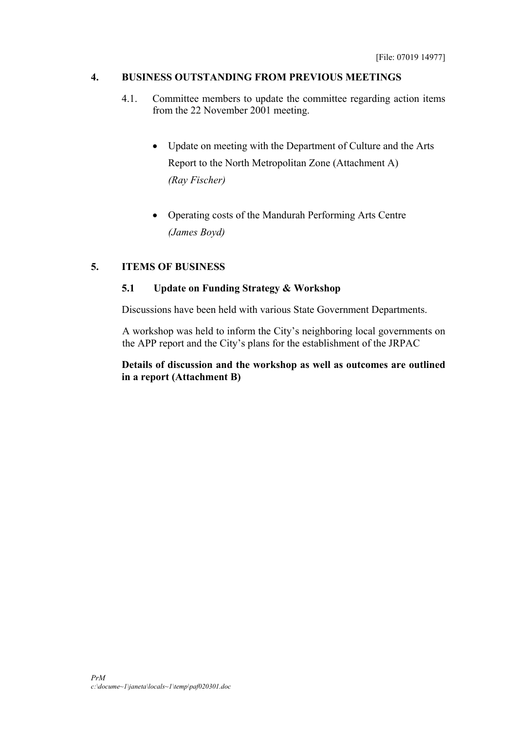# **4. BUSINESS OUTSTANDING FROM PREVIOUS MEETINGS**

- 4.1. Committee members to update the committee regarding action items from the 22 November 2001 meeting.
	- Update on meeting with the Department of Culture and the Arts Report to the North Metropolitan Zone (Attachment A) *(Ray Fischer)*
	- Operating costs of the Mandurah Performing Arts Centre *(James Boyd)*

# **5. ITEMS OF BUSINESS**

# **5.1 Update on Funding Strategy & Workshop**

Discussions have been held with various State Government Departments.

A workshop was held to inform the City's neighboring local governments on the APP report and the City's plans for the establishment of the JRPAC

# **Details of discussion and the workshop as well as outcomes are outlined in a report (Attachment B)**